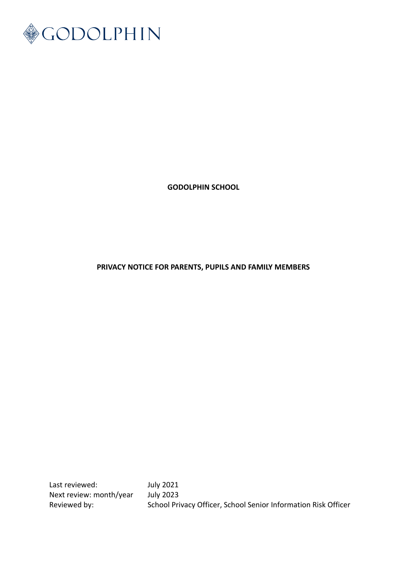

**GODOLPHIN SCHOOL**

## **PRIVACY NOTICE FOR PARENTS, PUPILS AND FAMILY MEMBERS**

Last reviewed: July 2021<br>Next review: month/year July 2023 Next review: month/year

Reviewed by: School Privacy Officer, School Senior Information Risk Officer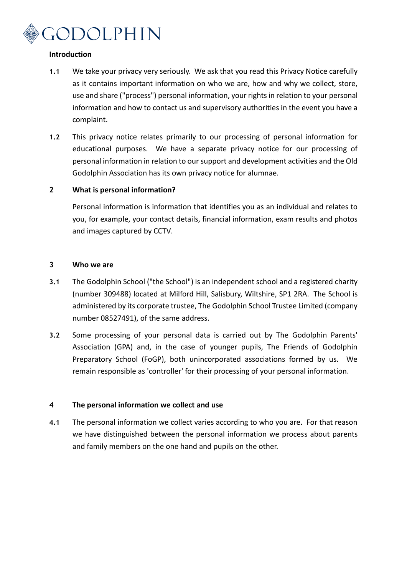

## **Introduction**

- **1.1** We take your privacy very seriously. We ask that you read this Privacy Notice carefully as it contains important information on who we are, how and why we collect, store, use and share ("process") personal information, your rights in relation to your personal information and how to contact us and supervisory authorities in the event you have a complaint.
- **1.2** This privacy notice relates primarily to our processing of personal information for educational purposes. We have a separate privacy notice for our processing of personal information in relation to our support and development activities and the Old Godolphin Association has its own privacy notice for alumnae.

## **2 What is personal information?**

Personal information is information that identifies you as an individual and relates to you, for example, your contact details, financial information, exam results and photos and images captured by CCTV.

## **3 Who we are**

- **3.1** The Godolphin School ("the School") is an independent school and a registered charity (number 309488) located at Milford Hill, Salisbury, Wiltshire, SP1 2RA. The School is administered by its corporate trustee, The Godolphin School Trustee Limited (company number 08527491), of the same address.
- **3.2** Some processing of your personal data is carried out by The Godolphin Parents' Association (GPA) and, in the case of younger pupils, The Friends of Godolphin Preparatory School (FoGP), both unincorporated associations formed by us. We remain responsible as 'controller' for their processing of your personal information.

## **4 The personal information we collect and use**

**4.1** The personal information we collect varies according to who you are. For that reason we have distinguished between the personal information we process about parents and family members on the one hand and pupils on the other.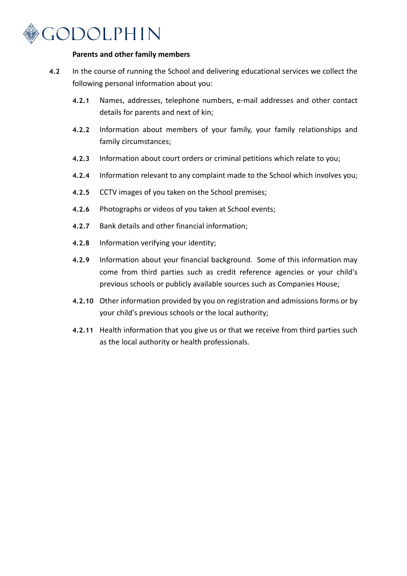

#### **Parents and other family members**

- **4.2** In the course of running the School and delivering educational services we collect the following personal information about you:
	- **4.2.1** Names, addresses, telephone numbers, e-mail addresses and other contact details for parents and next of kin;
	- **4.2.2** Information about members of your family, your family relationships and family circumstances;
	- **4.2.3** Information about court orders or criminal petitions which relate to you;
	- **4.2.4** Information relevant to any complaint made to the School which involves you;
	- **4.2.5** CCTV images of you taken on the School premises;
	- **4.2.6** Photographs or videos of you taken at School events;
	- **4.2.7** Bank details and other financial information;
	- **4.2.8** Information verifying your identity;
	- **4.2.9** Information about your financial background. Some of this information may come from third parties such as credit reference agencies or your child's previous schools or publicly available sources such as Companies House;
	- **4.2.10** Other information provided by you on registration and admissions forms or by your child's previous schools or the local authority;
	- **4.2.11** Health information that you give us or that we receive from third parties such as the local authority or health professionals.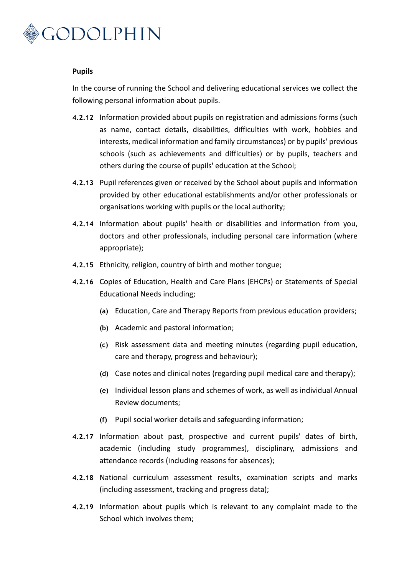

#### **Pupils**

In the course of running the School and delivering educational services we collect the following personal information about pupils.

- **4.2.12** Information provided about pupils on registration and admissions forms (such as name, contact details, disabilities, difficulties with work, hobbies and interests, medical information and family circumstances) or by pupils' previous schools (such as achievements and difficulties) or by pupils, teachers and others during the course of pupils' education at the School;
- **4.2.13** Pupil references given or received by the School about pupils and information provided by other educational establishments and/or other professionals or organisations working with pupils or the local authority;
- **4.2.14** Information about pupils' health or disabilities and information from you, doctors and other professionals, including personal care information (where appropriate);
- **4.2.15** Ethnicity, religion, country of birth and mother tongue;
- **4.2.16** Copies of Education, Health and Care Plans (EHCPs) or Statements of Special Educational Needs including;
	- **(a)** Education, Care and Therapy Reports from previous education providers;
	- **(b)** Academic and pastoral information;
	- **(c)** Risk assessment data and meeting minutes (regarding pupil education, care and therapy, progress and behaviour);
	- **(d)** Case notes and clinical notes (regarding pupil medical care and therapy);
	- **(e)** Individual lesson plans and schemes of work, as well as individual Annual Review documents;
	- **(f)** Pupil social worker details and safeguarding information;
- **4.2.17** Information about past, prospective and current pupils' dates of birth, academic (including study programmes), disciplinary, admissions and attendance records (including reasons for absences);
- **4.2.18** National curriculum assessment results, examination scripts and marks (including assessment, tracking and progress data);
- **4.2.19** Information about pupils which is relevant to any complaint made to the School which involves them;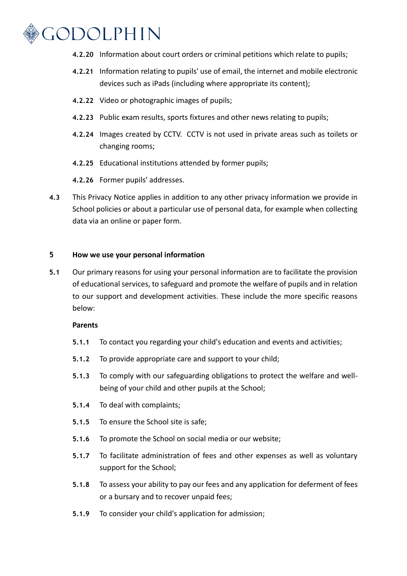

- **4.2.20** Information about court orders or criminal petitions which relate to pupils;
- **4.2.21** Information relating to pupils' use of email, the internet and mobile electronic devices such as iPads (including where appropriate its content);
- **4.2.22** Video or photographic images of pupils;
- **4.2.23** Public exam results, sports fixtures and other news relating to pupils;
- **4.2.24** Images created by CCTV. CCTV is not used in private areas such as toilets or changing rooms;
- **4.2.25** Educational institutions attended by former pupils;
- **4.2.26** Former pupils' addresses.
- **4.3** This Privacy Notice applies in addition to any other privacy information we provide in School policies or about a particular use of personal data, for example when collecting data via an online or paper form.

### **5 How we use your personal information**

**5.1** Our primary reasons for using your personal information are to facilitate the provision of educational services, to safeguard and promote the welfare of pupils and in relation to our support and development activities. These include the more specific reasons below:

#### **Parents**

- **5.1.1** To contact you regarding your child's education and events and activities;
- **5.1.2** To provide appropriate care and support to your child;
- **5.1.3** To comply with our safeguarding obligations to protect the welfare and wellbeing of your child and other pupils at the School;
- **5.1.4** To deal with complaints;
- **5.1.5** To ensure the School site is safe;
- **5.1.6** To promote the School on social media or our website;
- **5.1.7** To facilitate administration of fees and other expenses as well as voluntary support for the School;
- **5.1.8** To assess your ability to pay our fees and any application for deferment of fees or a bursary and to recover unpaid fees;
- **5.1.9** To consider your child's application for admission;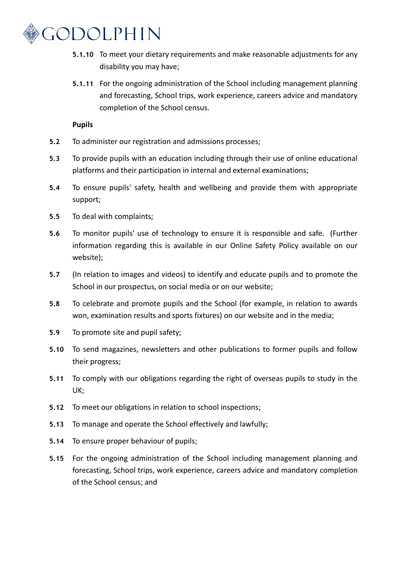

- **5.1.10** To meet your dietary requirements and make reasonable adjustments for any disability you may have;
- **5.1.11** For the ongoing administration of the School including management planning and forecasting, School trips, work experience, careers advice and mandatory completion of the School census.

## **Pupils**

- **5.2** To administer our registration and admissions processes;
- **5.3** To provide pupils with an education including through their use of online educational platforms and their participation in internal and external examinations;
- **5.4** To ensure pupils' safety, health and wellbeing and provide them with appropriate support;
- **5.5** To deal with complaints;
- **5.6** To monitor pupils' use of technology to ensure it is responsible and safe. (Further information regarding this is available in our Online Safety Policy available on our website);
- **5.7** (In relation to images and videos) to identify and educate pupils and to promote the School in our prospectus, on social media or on our website;
- **5.8** To celebrate and promote pupils and the School (for example, in relation to awards won, examination results and sports fixtures) on our website and in the media;
- **5.9** To promote site and pupil safety;
- **5.10** To send magazines, newsletters and other publications to former pupils and follow their progress;
- **5.11** To comply with our obligations regarding the right of overseas pupils to study in the UK;
- **5.12** To meet our obligations in relation to school inspections;
- **5.13** To manage and operate the School effectively and lawfully;
- **5.14** To ensure proper behaviour of pupils;
- **5.15** For the ongoing administration of the School including management planning and forecasting, School trips, work experience, careers advice and mandatory completion of the School census; and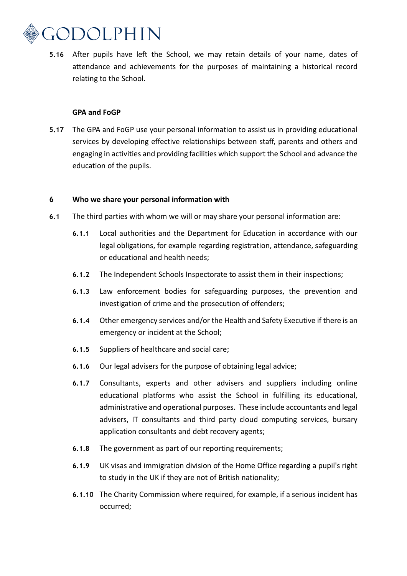

**5.16** After pupils have left the School, we may retain details of your name, dates of attendance and achievements for the purposes of maintaining a historical record relating to the School.

### **GPA and FoGP**

**5.17** The GPA and FoGP use your personal information to assist us in providing educational services by developing effective relationships between staff, parents and others and engaging in activities and providing facilities which support the School and advance the education of the pupils.

#### **6 Who we share your personal information with**

- **6.1** The third parties with whom we will or may share your personal information are:
	- **6.1.1** Local authorities and the Department for Education in accordance with our legal obligations, for example regarding registration, attendance, safeguarding or educational and health needs;
	- **6.1.2** The Independent Schools Inspectorate to assist them in their inspections;
	- **6.1.3** Law enforcement bodies for safeguarding purposes, the prevention and investigation of crime and the prosecution of offenders;
	- **6.1.4** Other emergency services and/or the Health and Safety Executive if there is an emergency or incident at the School;
	- **6.1.5** Suppliers of healthcare and social care;
	- **6.1.6** Our legal advisers for the purpose of obtaining legal advice;
	- **6.1.7** Consultants, experts and other advisers and suppliers including online educational platforms who assist the School in fulfilling its educational, administrative and operational purposes. These include accountants and legal advisers, IT consultants and third party cloud computing services, bursary application consultants and debt recovery agents;
	- **6.1.8** The government as part of our reporting requirements;
	- **6.1.9** UK visas and immigration division of the Home Office regarding a pupil's right to study in the UK if they are not of British nationality;
	- **6.1.10** The Charity Commission where required, for example, if a serious incident has occurred;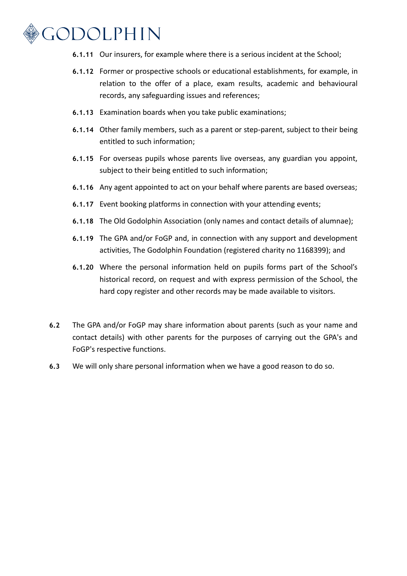

- **6.1.11** Our insurers, for example where there is a serious incident at the School;
- **6.1.12** Former or prospective schools or educational establishments, for example, in relation to the offer of a place, exam results, academic and behavioural records, any safeguarding issues and references;
- **6.1.13** Examination boards when you take public examinations;
- **6.1.14** Other family members, such as a parent or step-parent, subject to their being entitled to such information;
- **6.1.15** For overseas pupils whose parents live overseas, any guardian you appoint, subject to their being entitled to such information;
- **6.1.16** Any agent appointed to act on your behalf where parents are based overseas;
- **6.1.17** Event booking platforms in connection with your attending events;
- **6.1.18** The Old Godolphin Association (only names and contact details of alumnae);
- **6.1.19** The GPA and/or FoGP and, in connection with any support and development activities, The Godolphin Foundation (registered charity no 1168399); and
- **6.1.20** Where the personal information held on pupils forms part of the School's historical record, on request and with express permission of the School, the hard copy register and other records may be made available to visitors.
- **6.2** The GPA and/or FoGP may share information about parents (such as your name and contact details) with other parents for the purposes of carrying out the GPA's and FoGP's respective functions.
- **6.3** We will only share personal information when we have a good reason to do so.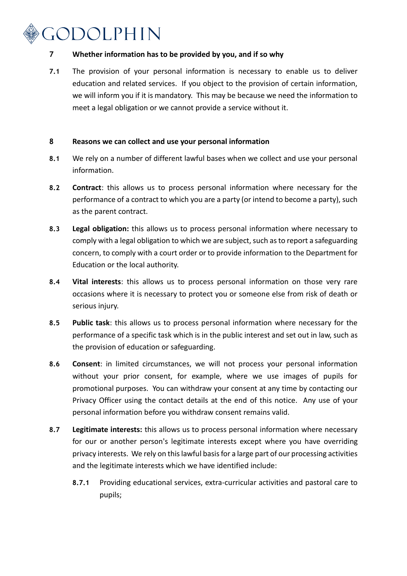# GODOLPHIN

## **7 Whether information has to be provided by you, and if so why**

**7.1** The provision of your personal information is necessary to enable us to deliver education and related services. If you object to the provision of certain information, we will inform you if it is mandatory. This may be because we need the information to meet a legal obligation or we cannot provide a service without it.

## **8 Reasons we can collect and use your personal information**

- **8.1** We rely on a number of different lawful bases when we collect and use your personal information.
- **8.2 Contract**: this allows us to process personal information where necessary for the performance of a contract to which you are a party (or intend to become a party), such as the parent contract.
- **8.3 Legal obligation:** this allows us to process personal information where necessary to comply with a legal obligation to which we are subject, such as to report a safeguarding concern, to comply with a court order or to provide information to the Department for Education or the local authority.
- **8.4 Vital interests**: this allows us to process personal information on those very rare occasions where it is necessary to protect you or someone else from risk of death or serious injury.
- **8.5 Public task**: this allows us to process personal information where necessary for the performance of a specific task which is in the public interest and set out in law, such as the provision of education or safeguarding.
- **8.6 Consent**: in limited circumstances, we will not process your personal information without your prior consent, for example, where we use images of pupils for promotional purposes. You can withdraw your consent at any time by contacting our Privacy Officer using the contact details at the end of this notice. Any use of your personal information before you withdraw consent remains valid.
- **8.7 Legitimate interests:** this allows us to process personal information where necessary for our or another person's legitimate interests except where you have overriding privacy interests. We rely on this lawful basis for a large part of our processing activities and the legitimate interests which we have identified include:
	- **8.7.1** Providing educational services, extra-curricular activities and pastoral care to pupils;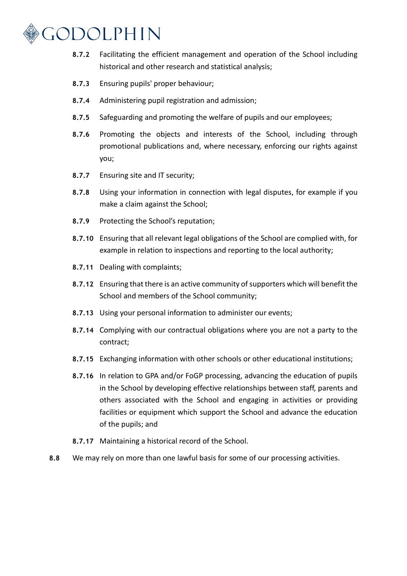

- **8.7.2** Facilitating the efficient management and operation of the School including historical and other research and statistical analysis;
- **8.7.3** Ensuring pupils' proper behaviour;
- **8.7.4** Administering pupil registration and admission;
- **8.7.5** Safeguarding and promoting the welfare of pupils and our employees;
- **8.7.6** Promoting the objects and interests of the School, including through promotional publications and, where necessary, enforcing our rights against you;
- **8.7.7** Ensuring site and IT security;
- **8.7.8** Using your information in connection with legal disputes, for example if you make a claim against the School;
- **8.7.9** Protecting the School's reputation;
- **8.7.10** Ensuring that all relevant legal obligations of the School are complied with, for example in relation to inspections and reporting to the local authority;
- **8.7.11** Dealing with complaints;
- **8.7.12** Ensuring that there is an active community of supporters which will benefit the School and members of the School community;
- **8.7.13** Using your personal information to administer our events;
- **8.7.14** Complying with our contractual obligations where you are not a party to the contract;
- **8.7.15** Exchanging information with other schools or other educational institutions;
- **8.7.16** In relation to GPA and/or FoGP processing, advancing the education of pupils in the School by developing effective relationships between staff, parents and others associated with the School and engaging in activities or providing facilities or equipment which support the School and advance the education of the pupils; and
- **8.7.17** Maintaining a historical record of the School.
- **8.8** We may rely on more than one lawful basis for some of our processing activities.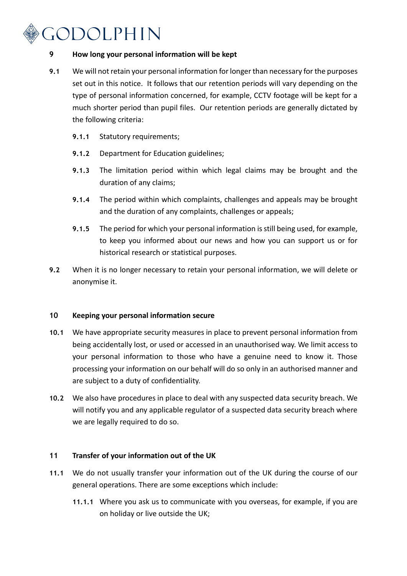# GODOLPHIN

## **9 How long your personal information will be kept**

- **9.1** We will not retain your personal information for longer than necessary for the purposes set out in this notice. It follows that our retention periods will vary depending on the type of personal information concerned, for example, CCTV footage will be kept for a much shorter period than pupil files. Our retention periods are generally dictated by the following criteria:
	- **9.1.1** Statutory requirements;
	- **9.1.2** Department for Education guidelines;
	- **9.1.3** The limitation period within which legal claims may be brought and the duration of any claims;
	- **9.1.4** The period within which complaints, challenges and appeals may be brought and the duration of any complaints, challenges or appeals;
	- **9.1.5** The period for which your personal information is still being used, for example, to keep you informed about our news and how you can support us or for historical research or statistical purposes.
- **9.2** When it is no longer necessary to retain your personal information, we will delete or anonymise it.

## **10 Keeping your personal information secure**

- **10.1** We have appropriate security measures in place to prevent personal information from being accidentally lost, or used or accessed in an unauthorised way. We limit access to your personal information to those who have a genuine need to know it. Those processing your information on our behalf will do so only in an authorised manner and are subject to a duty of confidentiality.
- **10.2** We also have procedures in place to deal with any suspected data security breach. We will notify you and any applicable regulator of a suspected data security breach where we are legally required to do so.

## **11 Transfer of your information out of the UK**

- **11.1** We do not usually transfer your information out of the UK during the course of our general operations. There are some exceptions which include:
	- **11.1.1** Where you ask us to communicate with you overseas, for example, if you are on holiday or live outside the UK;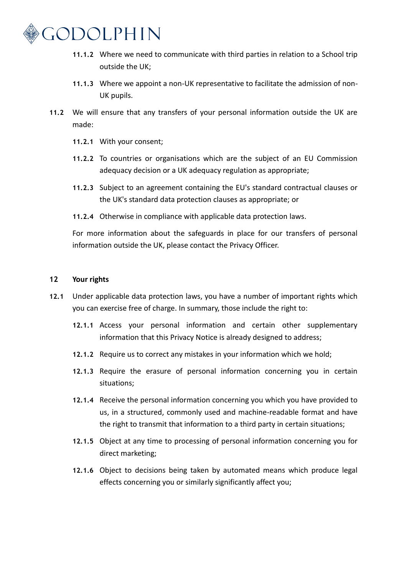

- **11.1.2** Where we need to communicate with third parties in relation to a School trip outside the UK;
- **11.1.3** Where we appoint a non-UK representative to facilitate the admission of non-UK pupils.
- **11.2** We will ensure that any transfers of your personal information outside the UK are made:
	- **11.2.1** With your consent;
	- **11.2.2** To countries or organisations which are the subject of an EU Commission adequacy decision or a UK adequacy regulation as appropriate;
	- **11.2.3** Subject to an agreement containing the EU's standard contractual clauses or the UK's standard data protection clauses as appropriate; or
	- **11.2.4** Otherwise in compliance with applicable data protection laws.

For more information about the safeguards in place for our transfers of personal information outside the UK, please contact the Privacy Officer.

## **12 Your rights**

- **12.1** Under applicable data protection laws, you have a number of important rights which you can exercise free of charge. In summary, those include the right to:
	- **12.1.1** Access your personal information and certain other supplementary information that this Privacy Notice is already designed to address;
	- **12.1.2** Require us to correct any mistakes in your information which we hold;
	- **12.1.3** Require the erasure of personal information concerning you in certain situations;
	- **12.1.4** Receive the personal information concerning you which you have provided to us, in a structured, commonly used and machine-readable format and have the right to transmit that information to a third party in certain situations;
	- **12.1.5** Object at any time to processing of personal information concerning you for direct marketing;
	- **12.1.6** Object to decisions being taken by automated means which produce legal effects concerning you or similarly significantly affect you;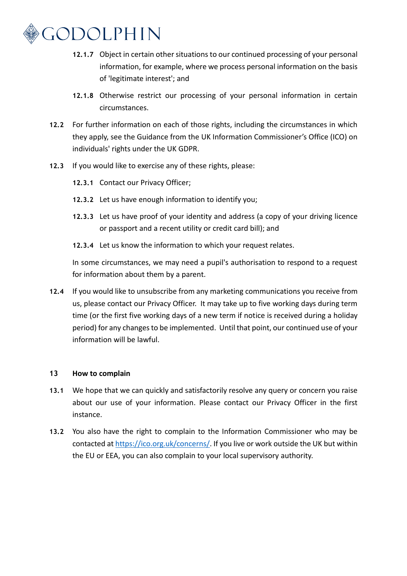

- **12.1.7** Object in certain other situations to our continued processing of your personal information, for example, where we process personal information on the basis of 'legitimate interest'; and
- **12.1.8** Otherwise restrict our processing of your personal information in certain circumstances.
- **12.2** For further information on each of those rights, including the circumstances in which they apply, see the Guidance from the UK Information Commissioner's Office (ICO) on individuals' rights under the UK GDPR.
- **12.3** If you would like to exercise any of these rights, please:
	- **12.3.1** Contact our Privacy Officer;
	- **12.3.2** Let us have enough information to identify you;
	- **12.3.3** Let us have proof of your identity and address (a copy of your driving licence or passport and a recent utility or credit card bill); and
	- **12.3.4** Let us know the information to which your request relates.

In some circumstances, we may need a pupil's authorisation to respond to a request for information about them by a parent.

**12.4** If you would like to unsubscribe from any marketing communications you receive from us, please contact our Privacy Officer. It may take up to five working days during term time (or the first five working days of a new term if notice is received during a holiday period) for any changes to be implemented. Until that point, our continued use of your information will be lawful.

## **13 How to complain**

- **13.1** We hope that we can quickly and satisfactorily resolve any query or concern you raise about our use of your information. Please contact our Privacy Officer in the first instance.
- **13.2** You also have the right to complain to the Information Commissioner who may be contacted a[t https://ico.org.uk/concerns/.](https://ico.org.uk/concerns/) If you live or work outside the UK but within the EU or EEA, you can also complain to your local supervisory authority.